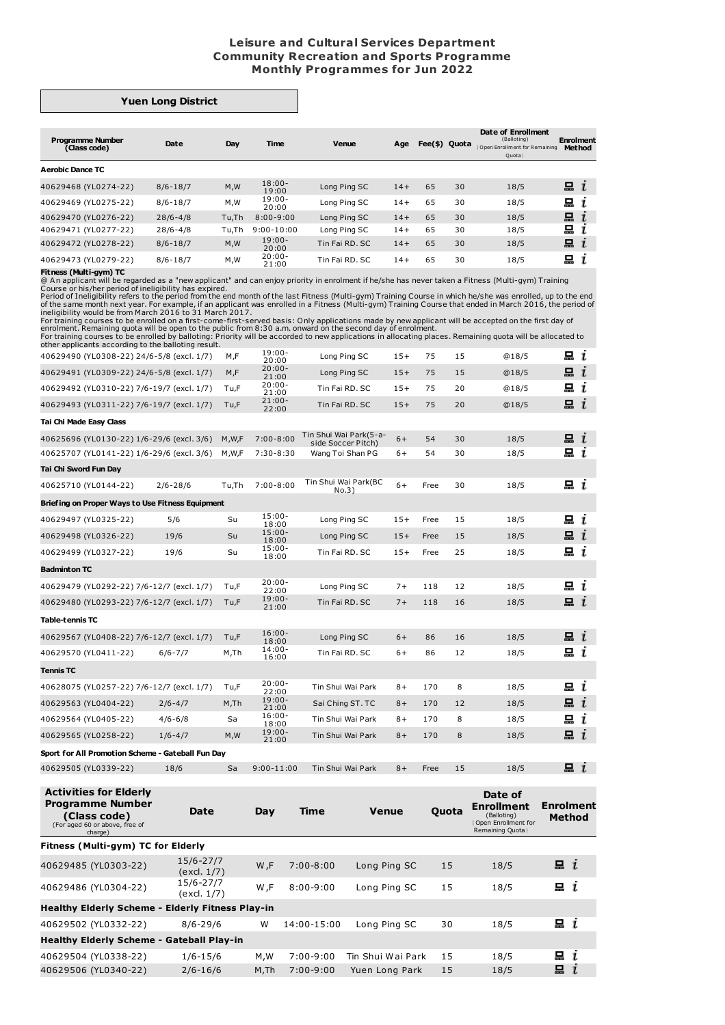## **Leisure and Cultural Services Department Community Recreation and Sports Programme Monthly Programmes for Jun 2022**

## **Yuen Long District**

| <b>Programme Number</b><br>(Class code) | Date         | Day   | <b>Time</b>        | Venue          | Age   | Fee(\$) Quota |    | Date of Enrollment<br>(Balloting)<br>Open Enrollment for Remaining<br>Quota | <b>Enrolment</b><br><b>Method</b> |
|-----------------------------------------|--------------|-------|--------------------|----------------|-------|---------------|----|-----------------------------------------------------------------------------|-----------------------------------|
| <b>Aerobic Dance TC</b>                 |              |       |                    |                |       |               |    |                                                                             |                                   |
| 40629468 (YL0274-22)                    | $8/6 - 18/7$ | M, W  | $18:00-$<br>19:00  | Long Ping SC   | $14+$ | 65            | 30 | 18/5                                                                        | $\blacksquare$ $i$                |
| 40629469 (YL0275-22)                    | $8/6 - 18/7$ | M,W   | $19:00-$<br>20:00  | Long Ping SC   | $14+$ | 65            | 30 | 18/5                                                                        | 드<br>ı                            |
| 40629470 (YL0276-22)                    | $28/6 - 4/8$ | Tu.Th | $8:00 - 9:00$      | Long Ping SC   | $14+$ | 65            | 30 | 18/5                                                                        | 묘<br>$\mathbf{r}$                 |
| 40629471 (YL0277-22)                    | $28/6 - 4/8$ | Tu,Th | $9:00 - 10:00$     | Long Ping SC   | $14+$ | 65            | 30 | 18/5                                                                        | 묘                                 |
| 40629472 (YL0278-22)                    | $8/6 - 18/7$ | M, W  | $19:00 -$<br>20:00 | Tin Fai RD, SC | $14+$ | 65            | 30 | 18/5                                                                        | 묘<br>$\mathbf{I}$                 |
| 40629473 (YL0279-22)                    | $8/6 - 18/7$ | M, M  | $20:00 -$<br>21:00 | Tin Fai RD, SC | $14+$ | 65            | 30 | 18/5                                                                        | 묘<br>1                            |

**Fitness (Multi-gym) TC**<br>
Course or his/her pergarded as a "new applicant" and can enjoy priority in enrolment if he/she has never taken a Fitness (Multi-gym) Training<br>
Course or his/her period of ineligibility has expire

| other applicaties according to the bandling result. |              |       |                    |                                              |       |      |    |       |                    |   |
|-----------------------------------------------------|--------------|-------|--------------------|----------------------------------------------|-------|------|----|-------|--------------------|---|
| 40629490 (YL0308-22) 24/6-5/8 (excl. 1/7)           |              | M,F   | $19:00 -$<br>20:00 | Long Ping SC                                 | $15+$ | 75   | 15 | @18/5 | 묘 $i$              |   |
| 40629491 (YL0309-22) 24/6-5/8 (excl. 1/7)           |              | M,F   | $20:00 -$<br>21:00 | Long Ping SC                                 | $15+$ | 75   | 15 | @18/5 | $\mathbf{a}$ i     |   |
| 40629492 (YL0310-22) 7/6-19/7 (excl. 1/7)           |              | Tu,F  | $20:00 -$<br>21:00 | Tin Fai RD. SC                               | $15+$ | 75   | 20 | @18/5 | 묘                  | i |
| 40629493 (YL0311-22) 7/6-19/7 (excl. 1/7)           |              | Tu,F  | $21:00 -$<br>22:00 | Tin Fai RD, SC                               | $15+$ | 75   | 20 | @18/5 | $\blacksquare$ $i$ |   |
| Tai Chi Made Easy Class                             |              |       |                    |                                              |       |      |    |       |                    |   |
| 40625696 (YL0130-22) 1/6-29/6 (excl. 3/6)           |              | M,W,F | $7:00 - 8:00$      | Tin Shui Wai Park(5-a-<br>side Soccer Pitch) | $6+$  | 54   | 30 | 18/5  | $\mathbf{a}$ i     |   |
| 40625707 (YL0141-22) 1/6-29/6 (excl. 3/6)           |              | M,W,F | $7:30-8:30$        | Wang Toi Shan PG                             | $6+$  | 54   | 30 | 18/5  | $x_i$              |   |
| Tai Chi Sword Fun Day                               |              |       |                    |                                              |       |      |    |       |                    |   |
| 40625710 (YL0144-22)                                | $2/6 - 28/6$ | Tu,Th | $7:00 - 8:00$      | Tin Shui Wai Park(BC<br>No.3)                | $6+$  | Free | 30 | 18/5  | 묘 $i$              |   |
| Briefing on Proper Ways to Use Fitness Equipment    |              |       |                    |                                              |       |      |    |       |                    |   |
| 40629497 (YL0325-22)                                | 5/6          | Su    | $15:00 -$<br>18:00 | Long Ping SC                                 | $15+$ | Free | 15 | 18/5  | 묘 i                |   |
| 40629498 (YL0326-22)                                | 19/6         | Su    | $15:00 -$<br>18:00 | Long Ping SC                                 | $15+$ | Free | 15 | 18/5  | $\mathbf{a}$ i     |   |
| 40629499 (YL0327-22)                                | 19/6         | Su    | $15:00 -$<br>18:00 | Tin Fai RD, SC                               | $15+$ | Free | 25 | 18/5  | 묘 $i$              |   |
| <b>Badminton TC</b>                                 |              |       |                    |                                              |       |      |    |       |                    |   |
| 40629479 (YL0292-22) 7/6-12/7 (excl. 1/7)           |              | Tu,F  | $20:00 -$<br>22:00 | Long Ping SC                                 | $7+$  | 118  | 12 | 18/5  | $\Box$ $i$         |   |
| 40629480 (YL0293-22) 7/6-12/7 (excl. 1/7)           |              | Tu,F  | $19:00 -$<br>21:00 | Tin Fai RD. SC                               | $7+$  | 118  | 16 | 18/5  | i                  |   |
| Table-tennis TC                                     |              |       |                    |                                              |       |      |    |       |                    |   |
| 40629567 (YL0408-22) 7/6-12/7 (excl. 1/7)           |              | Tu,F  | $16:00 -$<br>18:00 | Long Ping SC                                 | $6+$  | 86   | 16 | 18/5  | i                  |   |
| 40629570 (YL0411-22)                                | $6/6 - 7/7$  | M,Th  | $14:00 -$<br>16:00 | Tin Fai RD. SC                               | $6+$  | 86   | 12 | 18/5  | 묘 $i$              |   |
| <b>Tennis TC</b>                                    |              |       |                    |                                              |       |      |    |       |                    |   |
| 40628075 (YL0257-22) 7/6-12/7 (excl. 1/7)           |              | Tu,F  | $20:00 -$<br>22:00 | Tin Shui Wai Park                            | $8+$  | 170  | 8  | 18/5  | $\Box$ $i$         |   |
| 40629563 (YL0404-22)                                | $2/6 - 4/7$  | M,Th  | $19:00 -$<br>21:00 | Sai Ching ST. TC                             | $8+$  | 170  | 12 | 18/5  | i                  |   |
| 40629564 (YL0405-22)                                | $4/6 - 6/8$  | Sa    | $16:00 -$<br>18:00 | Tin Shui Wai Park                            | $8+$  | 170  | 8  | 18/5  | 묘 i                |   |
| 40629565 (YL0258-22)                                | $1/6 - 4/7$  | M, W  | $19:00 -$<br>21:00 | Tin Shui Wai Park                            | $8+$  | 170  | 8  | 18/5  | $\mathbf{a}$ i     |   |
| Sport for All Promotion Scheme - Gateball Fun Day   |              |       |                    |                                              |       |      |    |       |                    |   |
| 40629505 (YL0339-22)                                | 18/6         | Sa    | $9:00 - 11:00$     | Tin Shui Wai Park                            | $8+$  | Free | 15 | 18/5  | $\mathbf{a}$ i     |   |
|                                                     |              |       |                    |                                              |       |      |    |       |                    |   |

| Date                                      | Day      | <b>Time</b>                                      | <b>Venue</b>   | Quota | Date of<br><b>Enrollment</b><br>(Balloting)<br>Open Enrollment for<br>Remaining Quota } | Enrolment<br><b>Method</b> |  |
|-------------------------------------------|----------|--------------------------------------------------|----------------|-------|-----------------------------------------------------------------------------------------|----------------------------|--|
| Fitness (Multi-gym) TC for Elderly        |          |                                                  |                |       |                                                                                         |                            |  |
| 15/6-27/7<br>(excl. 1/7)                  | W,F      | $7:00 - 8:00$                                    | Long Ping SC   | 15    | 18/5                                                                                    | i                          |  |
| 15/6-27/7<br>(excl. 1/7)                  | W,F      | $8:00 - 9:00$                                    | Long Ping SC   | 15    | 18/5                                                                                    | $\n  i\n$                  |  |
|                                           |          |                                                  |                |       |                                                                                         |                            |  |
| $8/6 - 29/6$                              | W        | 14:00-15:00                                      | Long Ping SC   | 30    | 18/5                                                                                    | i                          |  |
| Healthy Elderly Scheme - Gateball Play-in |          |                                                  |                |       |                                                                                         |                            |  |
| $1/6 - 15/6$                              | M,W      | $7:00-9:00$                                      |                | 15    | 18/5                                                                                    | $x_i$                      |  |
| $2/6 - 16/6$                              | $M$ , Th | $7:00-9:00$                                      | Yuen Long Park | 15    | 18/5                                                                                    | 묘<br>Ĩ                     |  |
|                                           |          | Healthy Elderly Scheme - Elderly Fitness Play-in |                |       | Tin Shui Wai Park                                                                       |                            |  |